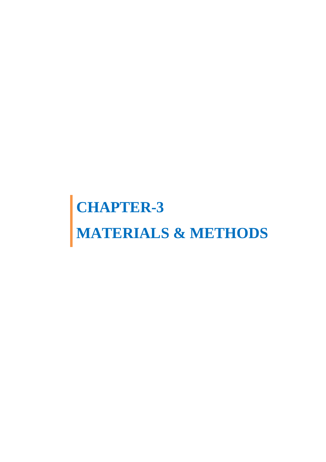# **CHAPTER-3 MATERIALS & METHODS**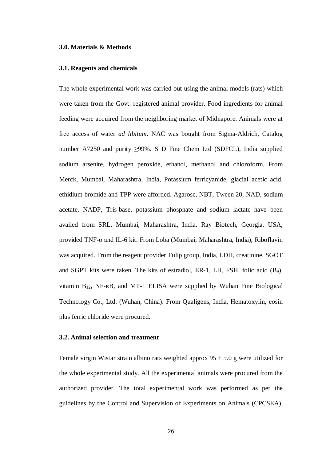#### **3.0. Materials & Methods**

#### **3.1. Reagents and chemicals**

The whole experimental work was carried out using the animal models (rats) which were taken from the Govt. registered animal provider. Food ingredients for animal feeding were acquired from the neighboring market of Midnapore. Animals were at free access of water *ad libitum*. NAC was bought from Sigma-Aldrich, Catalog number A7250 and purity  $\geq$ 99%. S D Fine Chem Ltd (SDFCL), India supplied sodium arsenite, hydrogen peroxide, ethanol, methanol and chloroform. From Merck, Mumbai, Maharashtra, India, Potassium ferricyanide, glacial acetic acid, ethidium bromide and TPP were afforded. Agarose, NBT, Tween 20, NAD, sodium acetate, NADP, Tris-base, potassium phosphate and sodium lactate have been availed from SRL, Mumbai, Maharashtra, India. Ray Biotech, Georgia, USA, provided TNF-α and IL-6 kit. From Loba (Mumbai, Maharashtra, India), Riboflavin was acquired. From the reagent provider Tulip group, India, LDH, creatinine, SGOT and SGPT kits were taken. The kits of estradiol, ER-1, LH, FSH, folic acid  $(B_9)$ , vitamin  $B_{12}$ , NF- $\kappa B$ , and MT-1 ELISA were supplied by Wuhan Fine Biological Technology Co., Ltd. (Wuhan, China). From Qualigens, India, Hematoxylin, eosin plus ferric chloride were procured.

#### **3.2. Animal selection and treatment**

Female virgin Wistar strain albino rats weighted approx  $95 \pm 5.0$  g were utilized for the whole experimental study. All the experimental animals were procured from the authorized provider. The total experimental work was performed as per the guidelines by the Control and Supervision of Experiments on Animals (CPCSEA),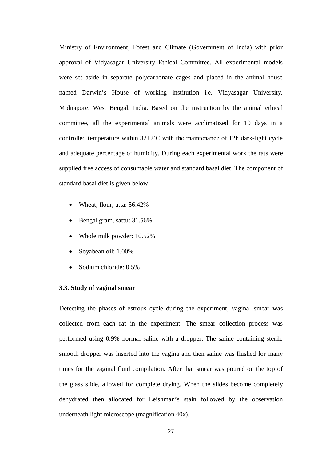Ministry of Environment, Forest and Climate (Government of India) with prior approval of Vidyasagar University Ethical Committee. All experimental models were set aside in separate polycarbonate cages and placed in the animal house named Darwin's House of working institution i.e. Vidyasagar University, Midnapore, West Bengal, India. Based on the instruction by the animal ethical committee, all the experimental animals were acclimatized for 10 days in a controlled temperature within  $32\pm2^{\circ}$ C with the maintenance of 12h dark-light cycle and adequate percentage of humidity. During each experimental work the rats were supplied free access of consumable water and standard basal diet. The component of standard basal diet is given below:

- Wheat, flour, atta: 56.42%
- Bengal gram, sattu: 31.56%
- Whole milk powder: 10.52%
- Soyabean oil: 1.00%
- Sodium chloride: 0.5%

#### **3.3. Study of vaginal smear**

Detecting the phases of estrous cycle during the experiment, vaginal smear was collected from each rat in the experiment. The smear collection process was performed using 0.9% normal saline with a dropper. The saline containing sterile smooth dropper was inserted into the vagina and then saline was flushed for many times for the vaginal fluid compilation. After that smear was poured on the top of the glass slide, allowed for complete drying. When the slides become completely dehydrated then allocated for Leishman's stain followed by the observation underneath light microscope (magnification 40x).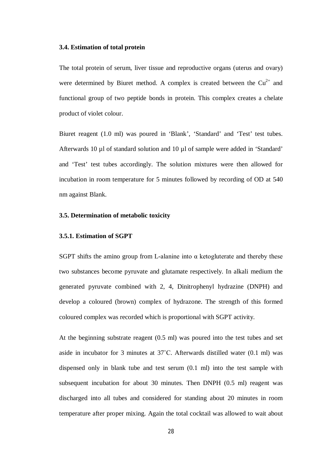#### **3.4. Estimation of total protein**

The total protein of serum, liver tissue and reproductive organs (uterus and ovary) were determined by Biuret method. A complex is created between the  $Cu^{2+}$  and functional group of two peptide bonds in protein. This complex creates a chelate product of violet colour.

Biuret reagent (1.0 ml) was poured in 'Blank', 'Standard' and 'Test' test tubes. Afterwards 10 µl of standard solution and 10 µl of sample were added in 'Standard' and 'Test' test tubes accordingly. The solution mixtures were then allowed for incubation in room temperature for 5 minutes followed by recording of OD at 540 nm against Blank.

#### **3.5. Determination of metabolic toxicity**

#### **3.5.1. Estimation of SGPT**

SGPT shifts the amino group from L-alanine into  $\alpha$  ketogluterate and thereby these two substances become pyruvate and glutamate respectively. In alkali medium the generated pyruvate combined with 2, 4, Dinitrophenyl hydrazine (DNPH) and develop a coloured (brown) complex of hydrazone. The strength of this formed coloured complex was recorded which is proportional with SGPT activity.

At the beginning substrate reagent (0.5 ml) was poured into the test tubes and set aside in incubator for 3 minutes at  $37^{\circ}$ C. Afterwards distilled water (0.1 ml) was dispensed only in blank tube and test serum (0.1 ml) into the test sample with subsequent incubation for about 30 minutes. Then DNPH (0.5 ml) reagent was discharged into all tubes and considered for standing about 20 minutes in room temperature after proper mixing. Again the total cocktail was allowed to wait about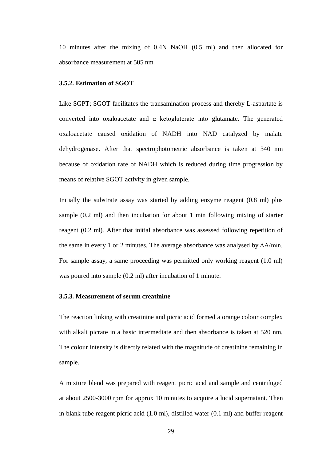10 minutes after the mixing of 0.4N NaOH (0.5 ml) and then allocated for absorbance measurement at 505 nm.

#### **3.5.2. Estimation of SGOT**

Like SGPT; SGOT facilitates the transamination process and thereby L-aspartate is converted into oxaloacetate and  $\alpha$  ketogluterate into glutamate. The generated oxaloacetate caused oxidation of NADH into NAD catalyzed by malate dehydrogenase. After that spectrophotometric absorbance is taken at 340 nm because of oxidation rate of NADH which is reduced during time progression by means of relative SGOT activity in given sample.

Initially the substrate assay was started by adding enzyme reagent (0.8 ml) plus sample (0.2 ml) and then incubation for about 1 min following mixing of starter reagent (0.2 ml). After that initial absorbance was assessed following repetition of the same in every 1 or 2 minutes. The average absorbance was analysed by ∆A/min. For sample assay, a same proceeding was permitted only working reagent (1.0 ml) was poured into sample (0.2 ml) after incubation of 1 minute.

#### **3.5.3. Measurement of serum creatinine**

The reaction linking with creatinine and picric acid formed a orange colour complex with alkali picrate in a basic intermediate and then absorbance is taken at 520 nm. The colour intensity is directly related with the magnitude of creatinine remaining in sample.

A mixture blend was prepared with reagent picric acid and sample and centrifuged at about 2500-3000 rpm for approx 10 minutes to acquire a lucid supernatant. Then in blank tube reagent picric acid (1.0 ml), distilled water (0.1 ml) and buffer reagent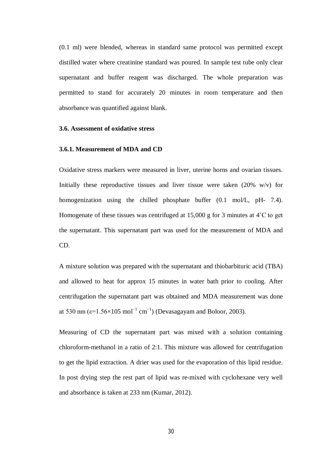(0.1 ml) were blended, whereas in standard same protocol was permitted except distilled water where creatinine standard was poured. In sample test tube only clear supernatant and buffer reagent was discharged. The whole preparation was permitted to stand for accurately 20 minutes in room temperature and then absorbance was quantified against blank.

#### **3.6. Assessment of oxidative stress**

#### **3.6.1. Measurement of MDA and CD**

Oxidative stress markers were measured in liver, uterine horns and ovarian tissues. Initially these reproductive tissues and liver tissue were taken  $(20\% \t w/v)$  for homogenization using the chilled phosphate buffer  $(0.1 \text{ mol/L}, \text{pH- } 7.4)$ . Homogenate of these tissues was centrifuged at 15,000 g for 3 minutes at 4˚C to get the supernatant. This supernatant part was used for the measurement of MDA and CD.

A mixture solution was prepared with the supernatant and thiobarbituric acid (TBA) and allowed to heat for approx 15 minutes in water bath prior to cooling. After centrifugation the supernatant part was obtained and MDA measurement was done at 530 nm ( $\varepsilon$ =1.56×105 mol<sup>-1</sup> cm<sup>-1</sup>) (Devasagayam and Boloor, 2003).

Measuring of CD the supernatant part was mixed with a solution containing chloroform-methanol in a ratio of 2:1. This mixture was allowed for centrifugation to get the lipid extraction. A drier was used for the evaporation of this lipid residue. In post drying step the rest part of lipid was re-mixed with cyclohexane very well and absorbance is taken at 233 nm (Kumar, 2012).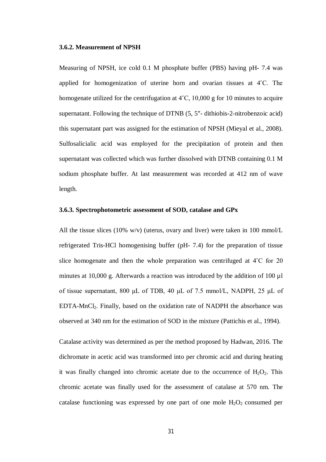#### **3.6.2. Measurement of NPSH**

Measuring of NPSH, ice cold 0.1 M phosphate buffer (PBS) having pH- 7.4 was applied for homogenization of uterine horn and ovarian tissues at 4˚C. The homogenate utilized for the centrifugation at  $4^{\circ}$ C, 10,000 g for 10 minutes to acquire supernatant. Following the technique of DTNB (5, 5"- dithiobis-2-nitrobenzoic acid) this supernatant part was assigned for the estimation of NPSH (Mieyal et al., 2008). Sulfosalicialic acid was employed for the precipitation of protein and then supernatant was collected which was further dissolved with DTNB containing 0.1 M sodium phosphate buffer. At last measurement was recorded at 412 nm of wave length.

#### **3.6.3. Spectrophotometric assessment of SOD, catalase and GPx**

All the tissue slices (10% w/v) (uterus, ovary and liver) were taken in 100 mmol/L refrigerated Tris-HCl homogenising buffer (pH- 7.4) for the preparation of tissue slice homogenate and then the whole preparation was centrifuged at 4˚C for 20 minutes at 10,000 g. Afterwards a reaction was introduced by the addition of 100 µl of tissue supernatant, 800 μL of TDB, 40 μL of 7.5 mmol/L, NADPH, 25 μL of EDTA-MnCl2. Finally, based on the oxidation rate of NADPH the absorbance was observed at 340 nm for the estimation of SOD in the mixture (Pattichis et al., 1994).

Catalase activity was determined as per the method proposed by Hadwan, 2016. The dichromate in acetic acid was transformed into per chromic acid and during heating it was finally changed into chromic acetate due to the occurrence of  $H_2O_2$ . This chromic acetate was finally used for the assessment of catalase at 570 nm. The catalase functioning was expressed by one part of one mole  $H_2O_2$  consumed per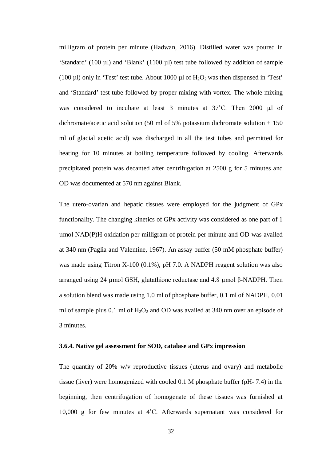milligram of protein per minute (Hadwan, 2016). Distilled water was poured in 'Standard' (100 µl) and 'Blank' (1100 µl) test tube followed by addition of sample (100  $\mu$ l) only in 'Test' test tube. About 1000  $\mu$ l of H<sub>2</sub>O<sub>2</sub> was then dispensed in 'Test' and 'Standard' test tube followed by proper mixing with vortex. The whole mixing was considered to incubate at least 3 minutes at 37°C. Then 2000 µl of dichromate/acetic acid solution (50 ml of 5% potassium dichromate solution + 150 ml of glacial acetic acid) was discharged in all the test tubes and permitted for heating for 10 minutes at boiling temperature followed by cooling. Afterwards precipitated protein was decanted after centrifugation at 2500 g for 5 minutes and OD was documented at 570 nm against Blank.

The utero-ovarian and hepatic tissues were employed for the judgment of GPx functionality. The changing kinetics of GPx activity was considered as one part of 1 µmol NAD(P)H oxidation per milligram of protein per minute and OD was availed at 340 nm (Paglia and Valentine, 1967). An assay buffer (50 mM phosphate buffer) was made using Titron X-100 (0.1%), pH 7.0. A NADPH reagent solution was also arranged using 24 µmol GSH, glutathione reductase and 4.8 µmol β-NADPH. Then a solution blend was made using 1.0 ml of phosphate buffer, 0.1 ml of NADPH, 0.01 ml of sample plus 0.1 ml of  $H_2O_2$  and OD was availed at 340 nm over an episode of 3 minutes.

#### **3.6.4. Native gel assessment for SOD, catalase and GPx impression**

The quantity of 20% w/v reproductive tissues (uterus and ovary) and metabolic tissue (liver) were homogenized with cooled 0.1 M phosphate buffer (pH- 7.4) in the beginning, then centrifugation of homogenate of these tissues was furnished at 10,000 g for few minutes at 4˚C. Afterwards supernatant was considered for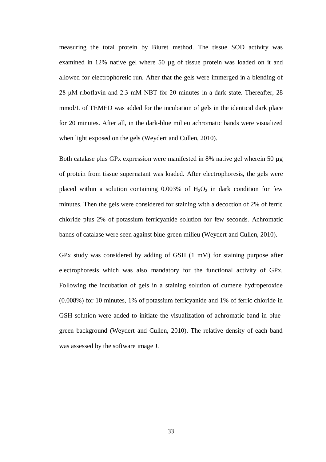measuring the total protein by Biuret method. The tissue SOD activity was examined in 12% native gel where 50 µg of tissue protein was loaded on it and allowed for electrophoretic run. After that the gels were immerged in a blending of 28 μM riboflavin and 2.3 mM NBT for 20 minutes in a dark state. Thereafter, 28 mmol/L of TEMED was added for the incubation of gels in the identical dark place for 20 minutes. After all, in the dark-blue milieu achromatic bands were visualized when light exposed on the gels (Weydert and Cullen, 2010).

Both catalase plus GPx expression were manifested in 8% native gel wherein 50  $\mu$ g of protein from tissue supernatant was loaded. After electrophoresis, the gels were placed within a solution containing  $0.003\%$  of  $H_2O_2$  in dark condition for few minutes. Then the gels were considered for staining with a decoction of 2% of ferric chloride plus 2% of potassium ferricyanide solution for few seconds. Achromatic bands of catalase were seen against blue-green milieu (Weydert and Cullen, 2010).

GPx study was considered by adding of GSH (1 mM) for staining purpose after electrophoresis which was also mandatory for the functional activity of GPx. Following the incubation of gels in a staining solution of cumene hydroperoxide (0.008%) for 10 minutes, 1% of potassium ferricyanide and 1% of ferric chloride in GSH solution were added to initiate the visualization of achromatic band in bluegreen background (Weydert and Cullen, 2010). The relative density of each band was assessed by the software image J.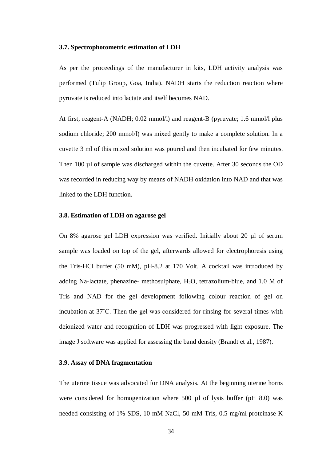#### **3.7. Spectrophotometric estimation of LDH**

As per the proceedings of the manufacturer in kits, LDH activity analysis was performed (Tulip Group, Goa, India). NADH starts the reduction reaction where pyruvate is reduced into lactate and itself becomes NAD.

At first, reagent-A (NADH; 0.02 mmol/l) and reagent-B (pyruvate; 1.6 mmol/l plus sodium chloride; 200 mmol/l) was mixed gently to make a complete solution. In a cuvette 3 ml of this mixed solution was poured and then incubated for few minutes. Then 100 µl of sample was discharged within the cuvette. After 30 seconds the OD was recorded in reducing way by means of NADH oxidation into NAD and that was linked to the LDH function.

#### **3.8. Estimation of LDH on agarose gel**

On 8% agarose gel LDH expression was verified. Initially about 20 µl of serum sample was loaded on top of the gel, afterwards allowed for electrophoresis using the Tris-HCl buffer (50 mM), pH-8.2 at 170 Volt. A cocktail was introduced by adding Na-lactate, phenazine- methosulphate,  $H_2O$ , tetrazolium-blue, and 1.0 M of Tris and NAD for the gel development following colour reaction of gel on incubation at 37˚C. Then the gel was considered for rinsing for several times with deionized water and recognition of LDH was progressed with light exposure. The image J software was applied for assessing the band density (Brandt et al., 1987).

#### **3.9. Assay of DNA fragmentation**

The uterine tissue was advocated for DNA analysis. At the beginning uterine horns were considered for homogenization where 500 µl of lysis buffer (pH 8.0) was needed consisting of 1% SDS, 10 mM NaCl, 50 mM Tris, 0.5 mg/ml proteinase K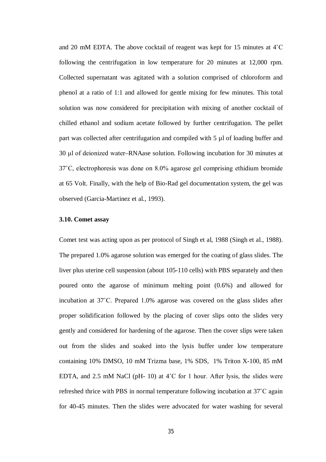and 20 mM EDTA. The above cocktail of reagent was kept for 15 minutes at 4˚C following the centrifugation in low temperature for 20 minutes at 12,000 rpm. Collected supernatant was agitated with a solution comprised of chloroform and phenol at a ratio of 1:1 and allowed for gentle mixing for few minutes. This total solution was now considered for precipitation with mixing of another cocktail of chilled ethanol and sodium acetate followed by further centrifugation. The pellet part was collected after centrifugation and compiled with 5 µl of loading buffer and 30 μl of deionized water–RNAase solution. Following incubation for 30 minutes at 37˚C, electrophoresis was done on 8.0% agarose gel comprising ethidium bromide at 65 Volt. Finally, with the help of Bio-Rad gel documentation system, the gel was observed (Garcia-Martinez et al., 1993).

#### **3.10. Comet assay**

Comet test was acting upon as per protocol of Singh et al, 1988 (Singh et al., 1988). The prepared 1.0% agarose solution was emerged for the coating of glass slides. The liver plus uterine cell suspension (about 105-110 cells) with PBS separately and then poured onto the agarose of minimum melting point (0.6%) and allowed for incubation at 37˚C. Prepared 1.0% agarose was covered on the glass slides after proper solidification followed by the placing of cover slips onto the slides very gently and considered for hardening of the agarose. Then the cover slips were taken out from the slides and soaked into the lysis buffer under low temperature containing 10% DMSO, 10 mM Trizma base, 1% SDS, 1% Triton X-100, 85 mM EDTA, and 2.5 mM NaCl (pH- 10) at 4˚C for 1 hour. After lysis, the slides were refreshed thrice with PBS in normal temperature following incubation at 37˚C again for 40-45 minutes. Then the slides were advocated for water washing for several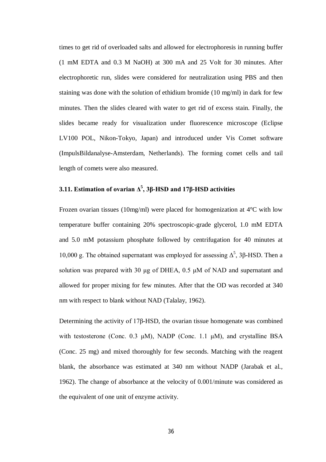times to get rid of overloaded salts and allowed for electrophoresis in running buffer (1 mM EDTA and 0.3 M NaOH) at 300 mA and 25 Volt for 30 minutes. After electrophoretic run, slides were considered for neutralization using PBS and then staining was done with the solution of ethidium bromide (10 mg/ml) in dark for few minutes. Then the slides cleared with water to get rid of excess stain. Finally, the slides became ready for visualization under fluorescence microscope (Eclipse LV100 POL, Nikon-Tokyo, Japan) and introduced under Vis Comet software (ImpulsBildanalyse-Amsterdam, Netherlands). The forming comet cells and tail length of comets were also measured.

# **3.11. Estimation of ovarian Δ<sup>5</sup> , 3β-HSD and 17β-HSD activities**

Frozen ovarian tissues (10mg/ml) were placed for homogenization at 4°C with low temperature buffer containing 20% spectroscopic-grade glycerol, 1.0 mM EDTA and 5.0 mM potassium phosphate followed by centrifugation for 40 minutes at 10,000 g. The obtained supernatant was employed for assessing  $Δ^5$ , 3β-HSD. Then a solution was prepared with 30 μg of DHEA, 0.5 μM of NAD and supernatant and allowed for proper mixing for few minutes. After that the OD was recorded at 340 nm with respect to blank without NAD (Talalay, 1962).

Determining the activity of 17β-HSD, the ovarian tissue homogenate was combined with testosterone (Conc. 0.3  $\mu$ M), NADP (Conc. 1.1  $\mu$ M), and crystalline BSA (Conc. 25 mg) and mixed thoroughly for few seconds. Matching with the reagent blank, the absorbance was estimated at 340 nm without NADP (Jarabak et al., 1962). The change of absorbance at the velocity of 0.001/minute was considered as the equivalent of one unit of enzyme activity.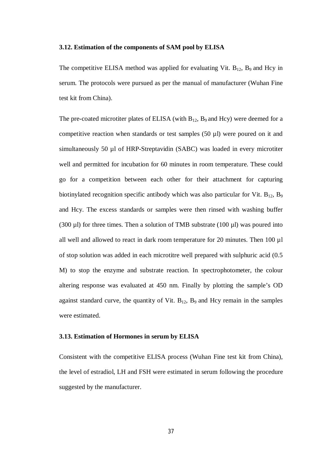#### **3.12. Estimation of the components of SAM pool by ELISA**

The competitive ELISA method was applied for evaluating Vit.  $B_{12}$ ,  $B_9$  and Hcy in serum. The protocols were pursued as per the manual of manufacturer (Wuhan Fine test kit from China).

The pre-coated microtiter plates of ELISA (with  $B_{12}$ ,  $B_9$  and Hcy) were deemed for a competitive reaction when standards or test samples  $(50 \mu l)$  were poured on it and simultaneously 50 µl of HRP-Streptavidin (SABC) was loaded in every microtiter well and permitted for incubation for 60 minutes in room temperature. These could go for a competition between each other for their attachment for capturing biotinylated recognition specific antibody which was also particular for Vit.  $B_{12}$ ,  $B_9$ and Hcy. The excess standards or samples were then rinsed with washing buffer (300  $\mu$ l) for three times. Then a solution of TMB substrate (100  $\mu$ l) was poured into all well and allowed to react in dark room temperature for 20 minutes. Then 100 µl of stop solution was added in each microtitre well prepared with sulphuric acid (0.5 M) to stop the enzyme and substrate reaction. In spectrophotometer, the colour altering response was evaluated at 450 nm. Finally by plotting the sample's OD against standard curve, the quantity of Vit.  $B_{12}$ ,  $B_9$  and Hcy remain in the samples were estimated.

#### **3.13. Estimation of Hormones in serum by ELISA**

Consistent with the competitive ELISA process (Wuhan Fine test kit from China), the level of estradiol, LH and FSH were estimated in serum following the procedure suggested by the manufacturer.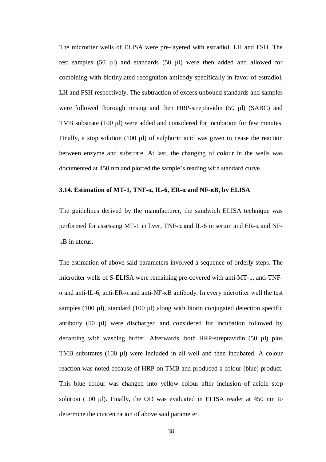The microtiter wells of ELISA were pre-layered with estradiol, LH and FSH. The test samples (50  $\mu$ l) and standards (50  $\mu$ l) were then added and allowed for combining with biotinylated recognition antibody specifically in favor of estradiol, LH and FSH respectively. The subtraction of excess unbound standards and samples were followed thorough rinsing and then HRP-streptavidin (50 µl) (SABC) and TMB substrate  $(100 \mu l)$  were added and considered for incubation for few minutes. Finally, a stop solution (100  $\mu$ ) of sulphuric acid was given to cease the reaction between enzyme and substrate. At last, the changing of colour in the wells was documented at 450 nm and plotted the sample's reading with standard curve.

#### **3.14. Estimation of MT-1, TNF-α, IL-6, ER-α and NF-B, by ELISA**

The guidelines derived by the manufacturer, the sandwich ELISA technique was performed for assessing MT-1 in liver, TNF-α and IL-6 in serum and ER-α and NF-  $\kappa$ B in uterus.

The estimation of above said parameters involved a sequence of orderly steps. The microtiter wells of S-ELISA were remaining pre-covered with anti-MT-1, anti-TNFα and anti-IL-6, anti-ER-α and anti-NF-κB antibody. In every microtiter well the test samples (100  $\mu$ l), standard (100  $\mu$ l) along with biotin conjugated detection specific antibody (50 µl) were discharged and considered for incubation followed by decanting with washing buffer. Afterwards, both HRP-streptavidin (50 µl) plus TMB substrates (100 µl) were included in all well and then incubated. A colour reaction was noted because of HRP on TMB and produced a colour (blue) product. This blue colour was changed into yellow colour after inclusion of acidic stop solution (100  $\mu$ l). Finally, the OD was evaluated in ELISA reader at 450 nm to determine the concentration of above said parameter.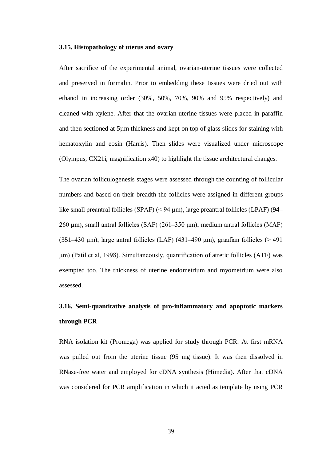#### **3.15. Histopathology of uterus and ovary**

After sacrifice of the experimental animal, ovarian-uterine tissues were collected and preserved in formalin. Prior to embedding these tissues were dried out with ethanol in increasing order (30%, 50%, 70%, 90% and 95% respectively) and cleaned with xylene. After that the ovarian-uterine tissues were placed in paraffin and then sectioned at 5µm thickness and kept on top of glass slides for staining with hematoxylin and eosin (Harris). Then slides were visualized under microscope (Olympus, CX21i, magnification x40) to highlight the tissue architectural changes.

The ovarian folliculogenesis stages were assessed through the counting of follicular numbers and based on their breadth the follicles were assigned in different groups like small preantral follicles (SPAF) (< 94 μm), large preantral follicles (LPAF) (94– 260 μm), small antral follicles (SAF) (261–350 μm), medium antral follicles (MAF) (351–430 μm), large antral follicles (LAF) (431–490 μm), graafian follicles (> 491 μm) (Patil et al, 1998). Simultaneously, quantification of atretic follicles (ATF) was exempted too. The thickness of uterine endometrium and myometrium were also assessed.

# **3.16. Semi-quantitative analysis of pro-inflammatory and apoptotic markers through PCR**

RNA isolation kit (Promega) was applied for study through PCR. At first mRNA was pulled out from the uterine tissue (95 mg tissue). It was then dissolved in RNase-free water and employed for cDNA synthesis (Himedia). After that cDNA was considered for PCR amplification in which it acted as template by using PCR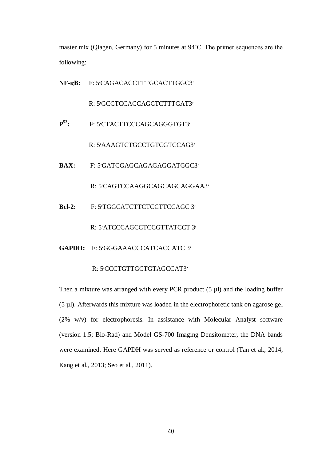master mix (Qiagen, Germany) for 5 minutes at 94˚C. The primer sequences are the following:

|                    | NF-KB: F: 5'CAGACACCTTTGCACTTGGC3' |
|--------------------|------------------------------------|
|                    | R: 5'GCCTCCACCAGCTCTTTGAT3'        |
| $\mathbf{P}^{3,1}$ | F: 5'CTACTTCCCAGCAGGGTGT3'         |
|                    | R: 5'AAAGTCTGCCTGTCGTCCAG3'        |
| BAX:               | F: 5'GATCGAGCAGAGAGGATGGC3'        |
|                    | R: 5'CAGTCCAAGGCAGCAGCAGGAA3'      |
| $Bcl-2$ :          | F: 5'TGGCATCTTCTCCTTCCAGC 3'       |
|                    | R: 5'ATCCCAGCCTCCGTTATCCT 3'       |

### **GAPDH:** F: 5׳GGGAAACCCATCACCATC 3׳

## R: 5'CCCTGTTGCTGTAGCCAT3'

Then a mixture was arranged with every PCR product  $(5 \mu l)$  and the loading buffer (5 µl). Afterwards this mixture was loaded in the electrophoretic tank on agarose gel (2% w/v) for electrophoresis. In assistance with Molecular Analyst software (version 1.5; Bio-Rad) and Model GS-700 Imaging Densitometer, the DNA bands were examined. Here GAPDH was served as reference or control (Tan et al., 2014; Kang et al., 2013; Seo et al., 2011).